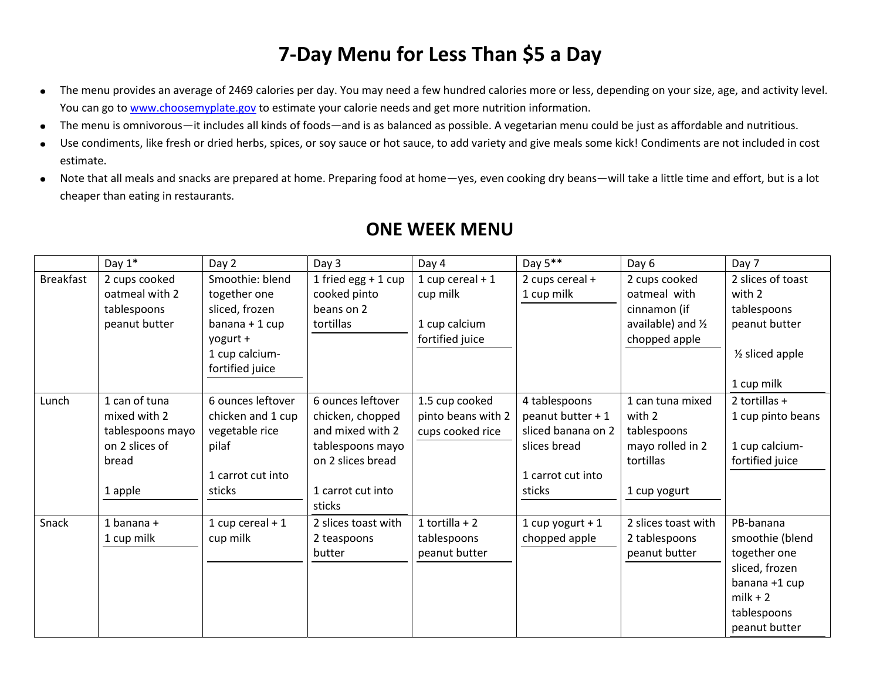## **7-Day Menu for Less Than \$5 a Day**

- The menu provides an average of 2469 calories per day. You may need a few hundred calories more or less, depending on your size, age, and activity level.  $\bullet$ You can go to [www.choosemyplate.gov](http://www.choosemyplate.gov/) to estimate your calorie needs and get more nutrition information.
- The menu is omnivorous—it includes all kinds of foods—and is as balanced as possible. A vegetarian menu could be just as affordable and nutritious.  $\bullet$
- Use condiments, like fresh or dried herbs, spices, or soy sauce or hot sauce, to add variety and give meals some kick! Condiments are not included in cost  $\bullet$ estimate.
- Note that all meals and snacks are prepared at home. Preparing food at home—yes, even cooking dry beans—will take a little time and effort, but is a lot  $\bullet$ cheaper than eating in restaurants.

|                  | Day $1^*$                                                                               | Day 2                                                                                                                | Day 3                                                                                                                             | Day 4                                                             | Day $5***$                                                                                              | Day 6                                                                                          | Day 7                                                                                                                         |
|------------------|-----------------------------------------------------------------------------------------|----------------------------------------------------------------------------------------------------------------------|-----------------------------------------------------------------------------------------------------------------------------------|-------------------------------------------------------------------|---------------------------------------------------------------------------------------------------------|------------------------------------------------------------------------------------------------|-------------------------------------------------------------------------------------------------------------------------------|
| <b>Breakfast</b> | 2 cups cooked<br>oatmeal with 2<br>tablespoons<br>peanut butter                         | Smoothie: blend<br>together one<br>sliced, frozen<br>banana + 1 cup<br>yogurt +<br>1 cup calcium-<br>fortified juice | 1 fried egg $+$ 1 cup<br>cooked pinto<br>beans on 2<br>tortillas                                                                  | 1 cup cereal $+1$<br>cup milk<br>1 cup calcium<br>fortified juice | 2 cups cereal $+$<br>1 cup milk                                                                         | 2 cups cooked<br>oatmeal with<br>cinnamon (if<br>available) and $\frac{1}{2}$<br>chopped apple | 2 slices of toast<br>with 2<br>tablespoons<br>peanut butter<br>$\frac{1}{2}$ sliced apple<br>1 cup milk                       |
| Lunch            | 1 can of tuna<br>mixed with 2<br>tablespoons mayo<br>on 2 slices of<br>bread<br>1 apple | 6 ounces leftover<br>chicken and 1 cup<br>vegetable rice<br>pilaf<br>1 carrot cut into<br>sticks                     | 6 ounces leftover<br>chicken, chopped<br>and mixed with 2<br>tablespoons mayo<br>on 2 slices bread<br>1 carrot cut into<br>sticks | 1.5 cup cooked<br>pinto beans with 2<br>cups cooked rice          | 4 tablespoons<br>peanut butter + 1<br>sliced banana on 2<br>slices bread<br>1 carrot cut into<br>sticks | 1 can tuna mixed<br>with 2<br>tablespoons<br>mayo rolled in 2<br>tortillas<br>1 cup yogurt     | 2 tortillas $+$<br>1 cup pinto beans<br>1 cup calcium-<br>fortified juice                                                     |
| Snack            | 1 banana $+$<br>1 cup milk                                                              | 1 cup cereal $+1$<br>cup milk                                                                                        | 2 slices toast with<br>2 teaspoons<br>butter                                                                                      | 1 tortilla + $2$<br>tablespoons<br>peanut butter                  | 1 cup yogurt + $1$<br>chopped apple                                                                     | 2 slices toast with<br>2 tablespoons<br>peanut butter                                          | PB-banana<br>smoothie (blend<br>together one<br>sliced, frozen<br>banana +1 cup<br>$milk + 2$<br>tablespoons<br>peanut butter |

## **ONE WEEK MENU**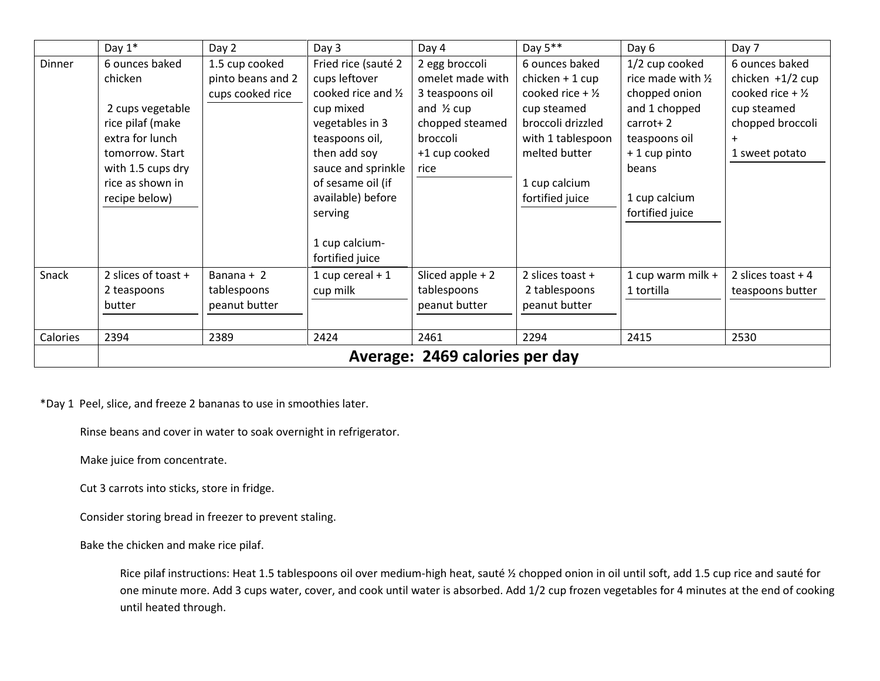|          | Day $1*$                       | Day 2             | Day 3               | Day 4                 | Day 5**                     | Day 6              | Day 7                         |
|----------|--------------------------------|-------------------|---------------------|-----------------------|-----------------------------|--------------------|-------------------------------|
| Dinner   | 6 ounces baked                 | 1.5 cup cooked    | Fried rice (sauté 2 | 2 egg broccoli        | 6 ounces baked              | 1/2 cup cooked     | 6 ounces baked                |
|          | chicken                        | pinto beans and 2 | cups leftover       | omelet made with      | $chicken + 1 cup$           | rice made with 1/2 | chicken $+1/2$ cup            |
|          |                                | cups cooked rice  | cooked rice and 1/2 | 3 teaspoons oil       | cooked rice + $\frac{1}{2}$ | chopped onion      | cooked rice $+$ $\frac{1}{2}$ |
|          | 2 cups vegetable               |                   | cup mixed           | and $\frac{1}{2}$ cup | cup steamed                 | and 1 chopped      | cup steamed                   |
|          | rice pilaf (make               |                   | vegetables in 3     | chopped steamed       | broccoli drizzled           | $carrot+2$         | chopped broccoli              |
|          | extra for lunch                |                   | teaspoons oil,      | broccoli              | with 1 tablespoon           | teaspoons oil      | $\ddot{}$                     |
|          | tomorrow. Start                |                   | then add soy        | +1 cup cooked         | melted butter               | $+1$ cup pinto     | 1 sweet potato                |
|          | with 1.5 cups dry              |                   | sauce and sprinkle  | rice                  |                             | beans              |                               |
|          | rice as shown in               |                   | of sesame oil (if   |                       | 1 cup calcium               |                    |                               |
|          | recipe below)                  |                   | available) before   |                       | fortified juice             | 1 cup calcium      |                               |
|          |                                |                   | serving             |                       |                             | fortified juice    |                               |
|          |                                |                   |                     |                       |                             |                    |                               |
|          |                                |                   | 1 cup calcium-      |                       |                             |                    |                               |
|          |                                |                   | fortified juice     |                       |                             |                    |                               |
| Snack    | 2 slices of toast +            | Banana $+2$       | 1 cup cereal $+1$   | Sliced apple $+2$     | 2 slices to ast $+$         | 1 cup warm milk +  | 2 slices to ast $+4$          |
|          | 2 teaspoons                    | tablespoons       | cup milk            | tablespoons           | 2 tablespoons               | 1 tortilla         | teaspoons butter              |
|          | butter                         | peanut butter     |                     | peanut butter         | peanut butter               |                    |                               |
|          |                                |                   |                     |                       |                             |                    |                               |
| Calories | 2394                           | 2389              | 2424                | 2461                  | 2294                        | 2415               | 2530                          |
|          | Average: 2469 calories per day |                   |                     |                       |                             |                    |                               |

\*Day 1 Peel, slice, and freeze 2 bananas to use in smoothies later.

Rinse beans and cover in water to soak overnight in refrigerator.

Make juice from concentrate.

Cut 3 carrots into sticks, store in fridge.

Consider storing bread in freezer to prevent staling.

Bake the chicken and make rice pilaf.

Rice pilaf instructions: Heat 1.5 tablespoons oil over medium-high heat, sauté ½ chopped onion in oil until soft, add 1.5 cup rice and sauté for one minute more. Add 3 cups water, cover, and cook until water is absorbed. Add 1/2 cup frozen vegetables for 4 minutes at the end of cooking until heated through.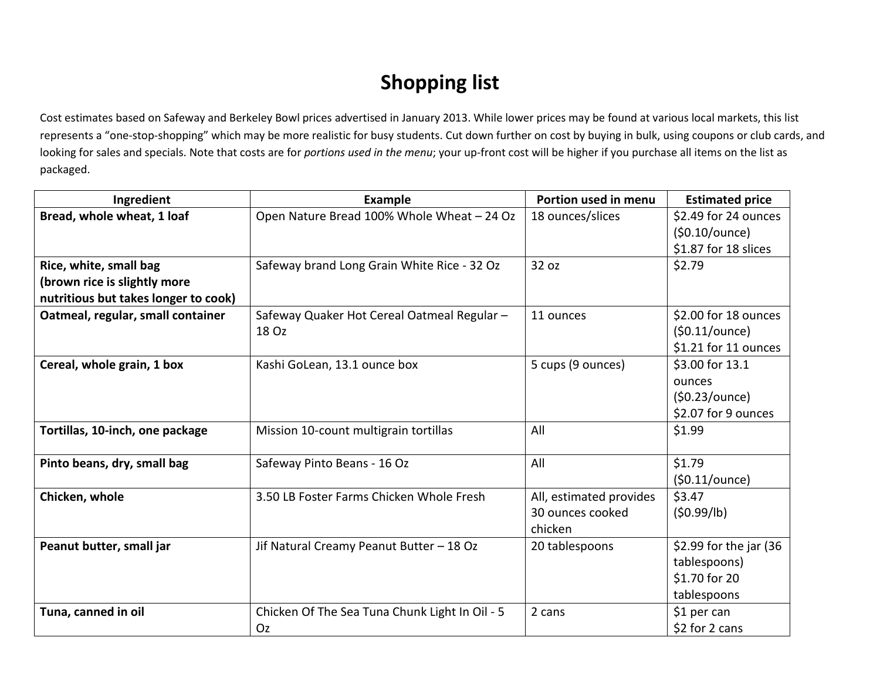## **Shopping list**

Cost estimates based on Safeway and Berkeley Bowl prices advertised in January 2013. While lower prices may be found at various local markets, this list represents a "one-stop-shopping" which may be more realistic for busy students. Cut down further on cost by buying in bulk, using coupons or club cards, and looking for sales and specials. Note that costs are for *portions used in the menu*; your up-front cost will be higher if you purchase all items on the list as packaged.

| Ingredient                           | <b>Example</b>                                 | Portion used in menu    | <b>Estimated price</b> |
|--------------------------------------|------------------------------------------------|-------------------------|------------------------|
| Bread, whole wheat, 1 loaf           | Open Nature Bread 100% Whole Wheat - 24 Oz     | 18 ounces/slices        | \$2.49 for 24 ounces   |
|                                      |                                                |                         | (50.10/ounce)          |
|                                      |                                                |                         | \$1.87 for 18 slices   |
| Rice, white, small bag               | Safeway brand Long Grain White Rice - 32 Oz    | 32 oz                   | \$2.79                 |
| (brown rice is slightly more         |                                                |                         |                        |
| nutritious but takes longer to cook) |                                                |                         |                        |
| Oatmeal, regular, small container    | Safeway Quaker Hot Cereal Oatmeal Regular -    | 11 ounces               | \$2.00 for 18 ounces   |
|                                      | 18 Oz                                          |                         | (50.11/ounce)          |
|                                      |                                                |                         | \$1.21 for 11 ounces   |
| Cereal, whole grain, 1 box           | Kashi GoLean, 13.1 ounce box                   | 5 cups (9 ounces)       | \$3.00 for 13.1        |
|                                      |                                                |                         | ounces                 |
|                                      |                                                |                         | (50.23/ounce)          |
|                                      |                                                |                         | \$2.07 for 9 ounces    |
| Tortillas, 10-inch, one package      | Mission 10-count multigrain tortillas          | All                     | \$1.99                 |
|                                      |                                                |                         |                        |
| Pinto beans, dry, small bag          | Safeway Pinto Beans - 16 Oz                    | All                     | \$1.79                 |
|                                      |                                                |                         | (50.11/ounce)          |
| Chicken, whole                       | 3.50 LB Foster Farms Chicken Whole Fresh       | All, estimated provides | \$3.47                 |
|                                      |                                                | 30 ounces cooked        | (50.99/lb)             |
|                                      |                                                | chicken                 |                        |
| Peanut butter, small jar             | Jif Natural Creamy Peanut Butter - 18 Oz       | 20 tablespoons          | \$2.99 for the jar (36 |
|                                      |                                                |                         | tablespoons)           |
|                                      |                                                |                         | \$1.70 for 20          |
|                                      |                                                |                         | tablespoons            |
| Tuna, canned in oil                  | Chicken Of The Sea Tuna Chunk Light In Oil - 5 | 2 cans                  | \$1 per can            |
|                                      | Oz                                             |                         | \$2 for 2 cans         |